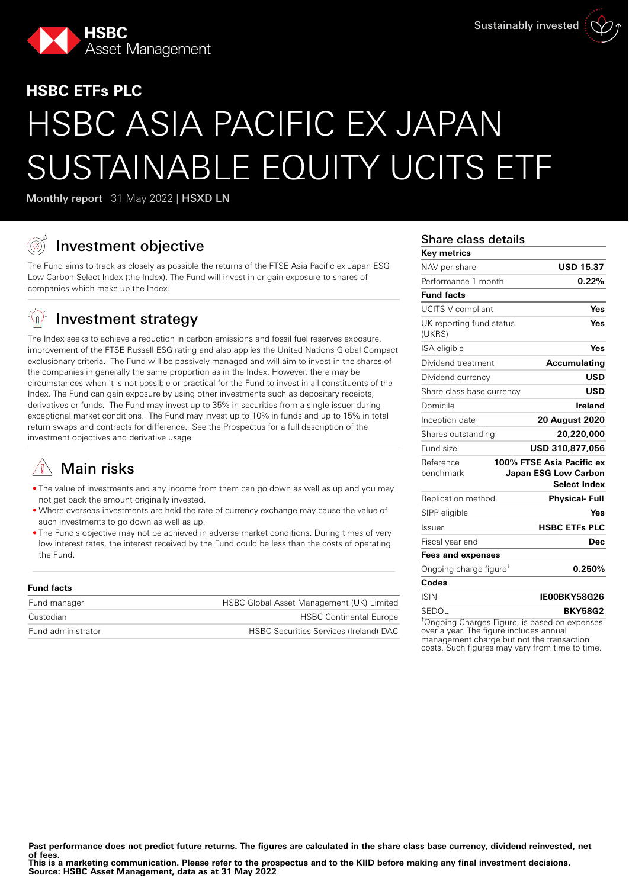

# **HSBC ETFs PLC** HSBC ASIA PACIFIC EX JAPAN SUSTAINABLE EQUITY UCITS ETF

Monthly report 31 May 2022 | HSXD LN

# Investment objective

The Fund aims to track as closely as possible the returns of the FTSE Asia Pacific ex Japan ESG Low Carbon Select Index (the Index). The Fund will invest in or gain exposure to shares of companies which make up the Index.

#### <u>-{n}</u> Investment strategy

The Index seeks to achieve a reduction in carbon emissions and fossil fuel reserves exposure, improvement of the FTSE Russell ESG rating and also applies the United Nations Global Compact exclusionary criteria. The Fund will be passively managed and will aim to invest in the shares of the companies in generally the same proportion as in the Index. However, there may be circumstances when it is not possible or practical for the Fund to invest in all constituents of the Index. The Fund can gain exposure by using other investments such as depositary receipts, derivatives or funds. The Fund may invest up to 35% in securities from a single issuer during exceptional market conditions. The Fund may invest up to 10% in funds and up to 15% in total return swaps and contracts for difference. See the Prospectus for a full description of the investment objectives and derivative usage.

# Main risks

- The value of investments and any income from them can go down as well as up and you may not get back the amount originally invested.
- Where overseas investments are held the rate of currency exchange may cause the value of such investments to go down as well as up.
- The Fund's objective may not be achieved in adverse market conditions. During times of very low interest rates, the interest received by the Fund could be less than the costs of operating the Fund.

| <b>Fund facts</b>  |                                               |
|--------------------|-----------------------------------------------|
| Fund manager       | HSBC Global Asset Management (UK) Limited     |
| Custodian          | <b>HSBC Continental Europe</b>                |
| Fund administrator | <b>HSBC Securities Services (Ireland) DAC</b> |
|                    |                                               |

### Share class details

| <b>Key metrics</b>                                        |                                                                          |
|-----------------------------------------------------------|--------------------------------------------------------------------------|
| NAV per share                                             | <b>USD 15.37</b>                                                         |
| Performance 1 month                                       | 0.22%                                                                    |
| <b>Fund facts</b>                                         |                                                                          |
| UCITS V compliant                                         | Yes                                                                      |
| UK reporting fund status<br>(UKRS)                        | Yes                                                                      |
| ISA eligible                                              | Yes                                                                      |
| Dividend treatment                                        | <b>Accumulating</b>                                                      |
| Dividend currency                                         | USD                                                                      |
| Share class base currency                                 | <b>USD</b>                                                               |
| Domicile                                                  | Ireland                                                                  |
| Inception date                                            | <b>20 August 2020</b>                                                    |
| Shares outstanding                                        | 20,220,000                                                               |
| Fund size                                                 | USD 310,877,056                                                          |
| Reference<br>benchmark                                    | 100% FTSE Asia Pacific ex<br>Japan ESG Low Carbon<br><b>Select Index</b> |
| Replication method                                        | <b>Physical-Full</b>                                                     |
| SIPP eligible                                             | Yes                                                                      |
| Issuer                                                    | <b>HSBC ETFs PLC</b>                                                     |
| Fiscal year end                                           | Dec                                                                      |
| <b>Fees and expenses</b>                                  |                                                                          |
| Ongoing charge figure <sup>1</sup>                        | 0.250%                                                                   |
| Codes                                                     |                                                                          |
| <b>ISIN</b>                                               | IE00BKY58G26                                                             |
| SEDOL                                                     | <b>BKY58G2</b>                                                           |
| <sup>1</sup> Ongoing Charges Figure, is based on expenses |                                                                          |

over a year. The figure includes annual management charge but not the transaction costs. Such figures may vary from time to time.

**This is a marketing communication. Please refer to the prospectus and to the KIID before making any final investment decisions. Source: HSBC Asset Management, data as at 31 May 2022**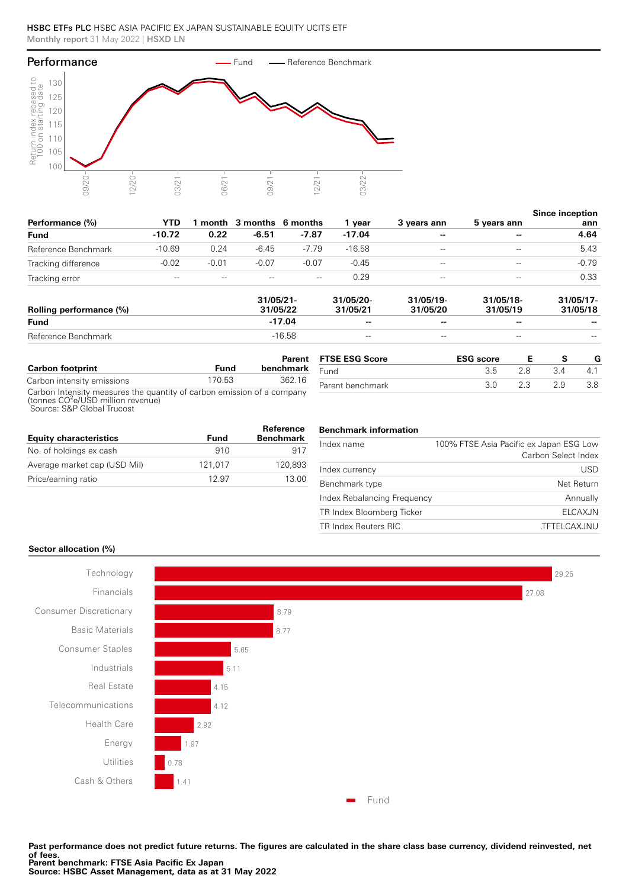

|                     |          |         |                         |         |          |                          |             | <b>Since inception</b> |
|---------------------|----------|---------|-------------------------|---------|----------|--------------------------|-------------|------------------------|
| Performance (%)     | YTD      |         | month 3 months 6 months |         | vear     | 3 years ann              | 5 years ann | ann                    |
| Fund                | $-10.72$ | 0.22    | $-6.51$                 | $-7.87$ | $-17.04$ | $\overline{\phantom{a}}$ | --          | 4.64                   |
| Reference Benchmark | $-10.69$ | 0.24    | $-6.45$                 | $-7.79$ | $-16.58$ | $-\,-$                   | $-\, -$     | 5.43                   |
| Tracking difference | $-0.02$  | $-0.01$ | $-0.07$                 | $-0.07$ | $-0.45$  | $- -$                    | $-\,-$      | $-0.79$                |
| Tracking error      | $- -$    | $- -$   | $- -$                   | $- -$   | 0.29     | $\qquad \qquad -$        | $- -$       | 0.33                   |
|                     |          |         |                         |         |          |                          |             |                        |

| Rolling performance (%) | 31/05/21<br>31/05/22 | 31/05/20-<br>31/05/21    | 31/05/19-<br>31/05/20 | 31/05/18-<br>31/05/19 | $31/05/17$ -<br>31/05/18 |
|-------------------------|----------------------|--------------------------|-----------------------|-----------------------|--------------------------|
| <b>Fund</b>             | $-17.04$             | $\overline{\phantom{a}}$ | $-$                   | --                    | $- -$                    |
| Reference Benchmark     | $-16.58$             | $-\, -$                  | $- -$                 | $- -$                 | $- -$                    |

|                                                                                                                                                        |        | Parent    | <b>FTSE ESG Score</b> | <b>ESG</b> score |     |     |
|--------------------------------------------------------------------------------------------------------------------------------------------------------|--------|-----------|-----------------------|------------------|-----|-----|
| <b>Carbon footprint</b>                                                                                                                                | Fund   | benchmark | Fund                  | 3.5              | 3.4 | 4.1 |
| Carbon intensity emissions                                                                                                                             | 170.53 | 362.16    | Parent benchmark      |                  | 29  | 3.8 |
| Carbon Intensity measures the quantity of carbon emission of a company<br>(tonnes CO <sup>2</sup> e/USD million revenue)<br>Source: S&P Global Trucost |        |           |                       |                  |     |     |

| <b>Equity characteristics</b> | Fund    | Reference<br><b>Benchmark</b> |
|-------------------------------|---------|-------------------------------|
| No. of holdings ex cash       | 910     | 917                           |
| Average market cap (USD Mil)  | 121.017 | 120.893                       |
| Price/earning ratio           | 12.97   | 13.00                         |

#### **Benchmark information**

| 100% FTSE Asia Pacific ex Japan ESG Low<br>Carbon Select Index |
|----------------------------------------------------------------|
| USD                                                            |
| Net Return                                                     |
| Index Rebalancing Frequency<br>Annually                        |
| <b>ELCAXJN</b>                                                 |
| <b>TFTELCAXJNU</b>                                             |
|                                                                |

#### **Sector allocation (%)**



**Past performance does not predict future returns. The figures are calculated in the share class base currency, dividend reinvested, net of fees. Parent benchmark: FTSE Asia Pacific Ex Japan Source: HSBC Asset Management, data as at 31 May 2022**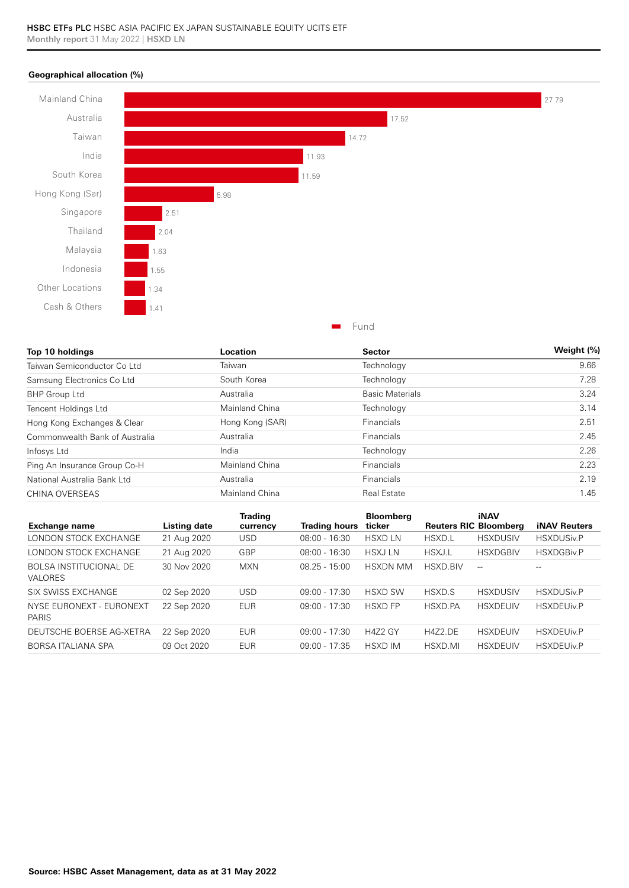#### **Geographical allocation (%)**



| Top 10 holdings                | Location        | <b>Sector</b>          | Weight (%) |
|--------------------------------|-----------------|------------------------|------------|
| Taiwan Semiconductor Co Ltd    | Taiwan          | Technology             | 9.66       |
| Samsung Electronics Co Ltd     | South Korea     | Technology             | 7.28       |
| <b>BHP Group Ltd</b>           | Australia       | <b>Basic Materials</b> | 3.24       |
| Tencent Holdings Ltd           | Mainland China  | Technology             | 3.14       |
| Hong Kong Exchanges & Clear    | Hong Kong (SAR) | Financials             | 2.51       |
| Commonwealth Bank of Australia | Australia       | Financials             | 2.45       |
| Infosys Ltd                    | India           | Technology             | 2.26       |
| Ping An Insurance Group Co-H   | Mainland China  | Financials             | 2.23       |
| National Australia Bank Ltd    | Australia       | Financials             | 2.19       |
| CHINA OVERSEAS                 | Mainland China  | <b>Real Estate</b>     | 1.45       |

| Exchange name                                   | <b>Listing date</b> | <b>Trading</b><br>currency | <b>Trading hours</b> | <b>Bloomberg</b><br>ticker | <b>Reuters RIC Bloomberg</b> | <b>iNAV</b>     | <b>iNAV Reuters</b> |
|-------------------------------------------------|---------------------|----------------------------|----------------------|----------------------------|------------------------------|-----------------|---------------------|
| LONDON STOCK EXCHANGE                           | 21 Aug 2020         | USD                        | $08:00 - 16:30$      | <b>HSXD LN</b>             | HSXD.L                       | <b>HSXDUSIV</b> | <b>HSXDUSiv.P</b>   |
| LONDON STOCK EXCHANGE                           | 21 Aug 2020         | GBP                        | $08:00 - 16:30$      | <b>HSXJLN</b>              | <b>HSXJ.L</b>                | <b>HSXDGBIV</b> | HSXDGBiv.P          |
| <b>BOLSA INSTITUCIONAL DE</b><br><b>VALORES</b> | 30 Nov 2020         | <b>MXN</b>                 | $08.25 - 15:00$      | <b>HSXDN MM</b>            | HSXD.BIV                     | $-$             |                     |
| SIX SWISS EXCHANGE                              | 02 Sep 2020         | <b>USD</b>                 | $09:00 - 17:30$      | <b>HSXD SW</b>             | HSXD.S                       | <b>HSXDUSIV</b> | <b>HSXDUSiv.P</b>   |
| NYSE EURONEXT - EURONEXT<br><b>PARIS</b>        | 22 Sep 2020         | EUR                        | $09:00 - 17:30$      | <b>HSXD FP</b>             | HSXD.PA                      | <b>HSXDEUIV</b> | <b>HSXDEUIv.P</b>   |
| DEUTSCHE BOERSE AG-XETRA                        | 22 Sep 2020         | <b>EUR</b>                 | $09:00 - 17:30$      | <b>H4Z2 GY</b>             | <b>H4Z2.DE</b>               | <b>HSXDEUIV</b> | <b>HSXDEUIv.P</b>   |
| BORSA ITALIANA SPA                              | 09 Oct 2020         | EUR                        | $09:00 - 17:35$      | <b>HSXD IM</b>             | <b>HSXD.MI</b>               | <b>HSXDEUIV</b> | <b>HSXDEUIv.P</b>   |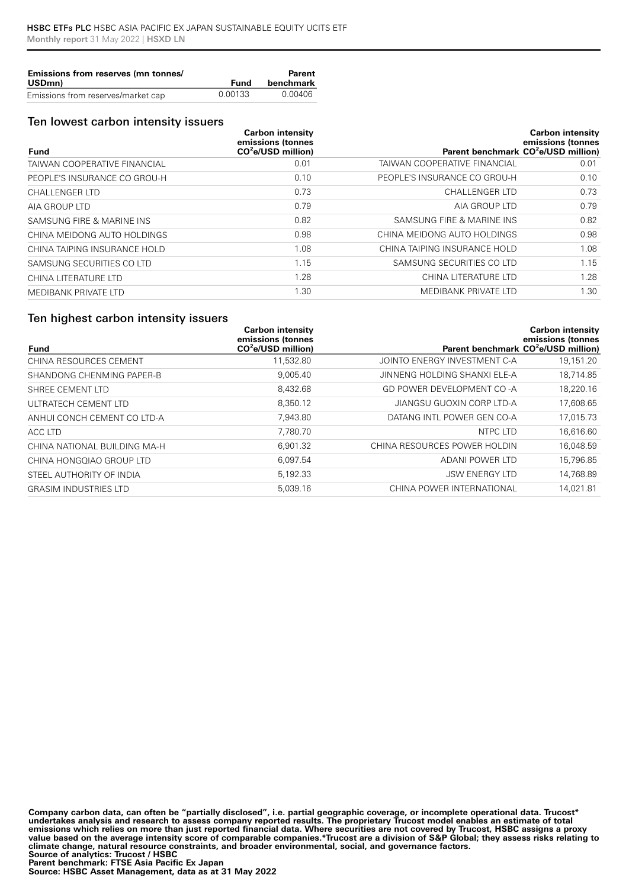| Emissions from reserves (mn tonnes/ |         | Parent    |
|-------------------------------------|---------|-----------|
| USD <sub>mn</sub>                   | Fund    | benchmark |
| Emissions from reserves/market cap  | 0.00133 | 0.00406   |

#### Ten lowest carbon intensity issuers

|                              | <b>Carbon intensity</b><br>emissions (tonnes |                                                 | <b>Carbon intensity</b><br>emissions (tonnes |
|------------------------------|----------------------------------------------|-------------------------------------------------|----------------------------------------------|
| <b>Fund</b>                  | $CO2e/USD$ million)                          | Parent benchmark CO <sup>2</sup> e/USD million) |                                              |
| TAIWAN COOPERATIVE FINANCIAL | 0.01                                         | TAIWAN COOPERATIVE FINANCIAL                    | 0.01                                         |
| PEOPLE'S INSURANCE CO GROU-H | 0.10                                         | PEOPLE'S INSURANCE CO GROU-H                    | 0.10                                         |
| <b>CHALLENGER LTD</b>        | 0.73                                         | <b>CHALLENGER LTD</b>                           | 0.73                                         |
| AIA GROUP LTD                | 0.79                                         | AIA GROUP LTD                                   | 0.79                                         |
| SAMSUNG FIRE & MARINE INS    | 0.82                                         | SAMSUNG FIRE & MARINE INS                       | 0.82                                         |
| CHINA MEIDONG AUTO HOLDINGS  | 0.98                                         | CHINA MEIDONG AUTO HOLDINGS                     | 0.98                                         |
| CHINA TAIPING INSURANCE HOLD | 1.08                                         | CHINA TAIPING INSURANCE HOLD                    | 1.08                                         |
| SAMSUNG SECURITIES CO LTD    | 1.15                                         | SAMSUNG SECURITIES CO LTD                       | 1.15                                         |
| CHINA LITERATURE LTD         | 1.28                                         | CHINA LITERATURE LTD                            | 1.28                                         |
| MEDIBANK PRIVATE LTD         | 1.30                                         | <b>MEDIBANK PRIVATE LTD</b>                     | 1.30                                         |

### Ten highest carbon intensity issuers

|                              | <b>Carbon intensity</b><br>emissions (tonnes |                                                 | <b>Carbon intensity</b><br>emissions (tonnes |
|------------------------------|----------------------------------------------|-------------------------------------------------|----------------------------------------------|
| <b>Fund</b>                  | $CO2e/USD$ million)                          | Parent benchmark CO <sup>2</sup> e/USD million) |                                              |
| CHINA RESOURCES CEMENT       | 11,532.80                                    | JOINTO ENERGY INVESTMENT C-A                    | 19,151.20                                    |
| SHANDONG CHENMING PAPER-B    | 9.005.40                                     | JINNENG HOLDING SHANXI ELE-A                    | 18,714.85                                    |
| SHREE CEMENT LTD             | 8.432.68                                     | GD POWER DEVELOPMENT CO-A                       | 18,220.16                                    |
| ULTRATECH CEMENT LTD         | 8.350.12                                     | JIANGSU GUOXIN CORP LTD-A                       | 17,608.65                                    |
| ANHUI CONCH CEMENT CO LTD-A  | 7,943.80                                     | DATANG INTL POWER GEN CO-A                      | 17,015.73                                    |
| ACC LTD                      | 7.780.70                                     | NTPC LTD                                        | 16,616.60                                    |
| CHINA NATIONAL BUILDING MA-H | 6.901.32                                     | CHINA RESOURCES POWER HOLDIN                    | 16,048.59                                    |
| CHINA HONGQIAO GROUP LTD     | 6.097.54                                     | ADANI POWER LTD                                 | 15,796.85                                    |
| STEEL AUTHORITY OF INDIA     | 5,192.33                                     | <b>JSW ENERGY LTD</b>                           | 14,768.89                                    |
| <b>GRASIM INDUSTRIES LTD</b> | 5,039.16                                     | CHINA POWER INTERNATIONAL                       | 14,021.81                                    |

**Company carbon data, can often be "partially disclosed", i.e. partial geographic coverage, or incomplete operational data. Trucost\***  undertakes analysis and research to assess company reported results. The proprietary Trucost model enables an estimate of total<br>emissions which relies on more than just reported financial data. Where securities are not cov **value based on the average intensity score of comparable companies.\*Trucost are a division of S&P Global; they assess risks relating to climate change, natural resource constraints, and broader environmental, social, and governance factors. Source of analytics: Trucost / HSBC Parent benchmark: FTSE Asia Pacific Ex Japan**

**Source: HSBC Asset Management, data as at 31 May 2022**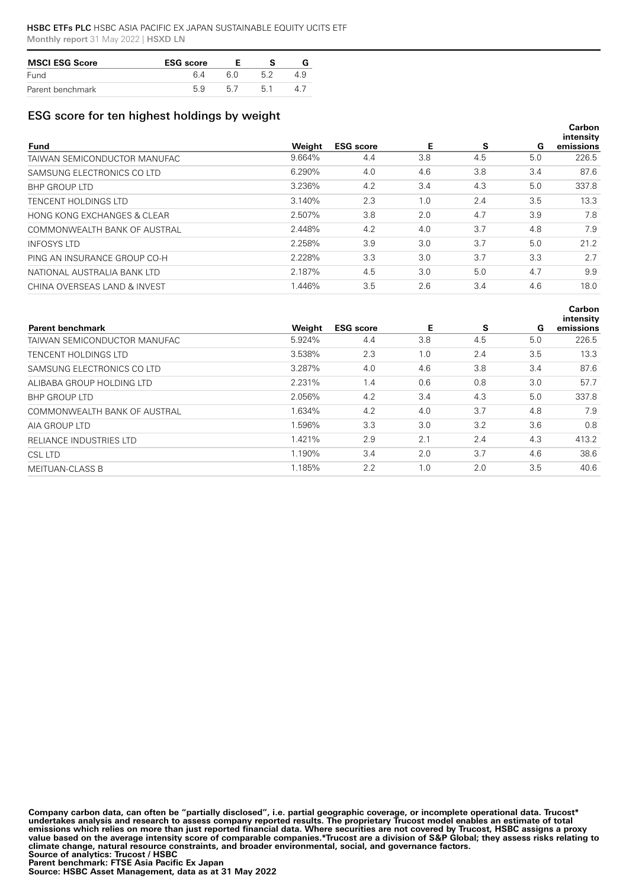| <b>MSCI ESG Score</b> | <b>ESG</b> score |  |  |  |
|-----------------------|------------------|--|--|--|
| Fund                  | 6 A              |  |  |  |
| Parent benchmark      | 59               |  |  |  |

## ESG score for ten highest holdings by weight

| <b>Fund</b>                  | Weight | <b>ESG</b> score | Е   | s   | G   | Carbon<br>intensity<br>emissions |
|------------------------------|--------|------------------|-----|-----|-----|----------------------------------|
| TAIWAN SEMICONDUCTOR MANUFAC | 9.664% | 4.4              | 3.8 | 4.5 | 5.0 | 226.5                            |
| SAMSUNG ELECTRONICS CO LTD   | 6.290% | 4.0              | 4.6 | 3.8 | 3.4 | 87.6                             |
| <b>BHP GROUP LTD</b>         | 3.236% | 4.2              | 3.4 | 4.3 | 5.0 | 337.8                            |
| TENCENT HOLDINGS LTD         | 3.140% | 2.3              | 1.0 | 2.4 | 3.5 | 13.3                             |
| HONG KONG EXCHANGES & CLEAR  | 2.507% | 3.8              | 2.0 | 4.7 | 3.9 | 7.8                              |
| COMMONWEALTH BANK OF AUSTRAL | 2.448% | 4.2              | 4.0 | 3.7 | 4.8 | 7.9                              |
| <b>INFOSYS LTD</b>           | 2.258% | 3.9              | 3.0 | 3.7 | 5.0 | 21.2                             |
| PING AN INSURANCE GROUP CO-H | 2.228% | 3.3              | 3.0 | 3.7 | 3.3 | 2.7                              |
| NATIONAL AUSTRALIA BANK LTD  | 2.187% | 4.5              | 3.0 | 5.0 | 4.7 | 9.9                              |
| CHINA OVERSEAS LAND & INVEST | .446%  | 3.5              | 2.6 | 3.4 | 4.6 | 18.0                             |

| <b>Parent benchmark</b>      | Weight | <b>ESG</b> score | Е   | S   | G   | Carbon<br>intensity<br>emissions |
|------------------------------|--------|------------------|-----|-----|-----|----------------------------------|
| TAIWAN SEMICONDUCTOR MANUFAC | 5.924% | 4.4              | 3.8 | 4.5 | 5.0 | 226.5                            |
| TENCENT HOLDINGS LTD         | 3.538% | 2.3              | 1.0 | 2.4 | 3.5 | 13.3                             |
| SAMSUNG ELECTRONICS CO LTD   | 3.287% | 4.0              | 4.6 | 3.8 | 3.4 | 87.6                             |
| ALIBABA GROUP HOLDING LTD    | 2.231% | 1.4              | 0.6 | 0.8 | 3.0 | 57.7                             |
| <b>BHP GROUP LTD</b>         | 2.056% | 4.2              | 3.4 | 4.3 | 5.0 | 337.8                            |
| COMMONWEALTH BANK OF AUSTRAL | 1.634% | 4.2              | 4.0 | 3.7 | 4.8 | 7.9                              |
| AIA GROUP LTD                | 1.596% | 3.3              | 3.0 | 3.2 | 3.6 | 0.8                              |
| RELIANCE INDUSTRIES LTD      | 1.421% | 2.9              | 2.1 | 2.4 | 4.3 | 413.2                            |
| CSL LTD                      | 1.190% | 3.4              | 2.0 | 3.7 | 4.6 | 38.6                             |
| <b>MEITUAN-CLASS B</b>       | 1.185% | 2.2              | 1.0 | 2.0 | 3.5 | 40.6                             |

**Company carbon data, can often be "partially disclosed", i.e. partial geographic coverage, or incomplete operational data. Trucost\***  undertakes analysis and research to assess company reported results. The proprietary Trucost model enables an estimate of total<br>emissions which relies on more than just reported financial data. Where securities are not cov **value based on the average intensity score of comparable companies.\*Trucost are a division of S&P Global; they assess risks relating to climate change, natural resource constraints, and broader environmental, social, and governance factors. Source of analytics: Trucost / HSBC Parent benchmark: FTSE Asia Pacific Ex Japan**

**Source: HSBC Asset Management, data as at 31 May 2022**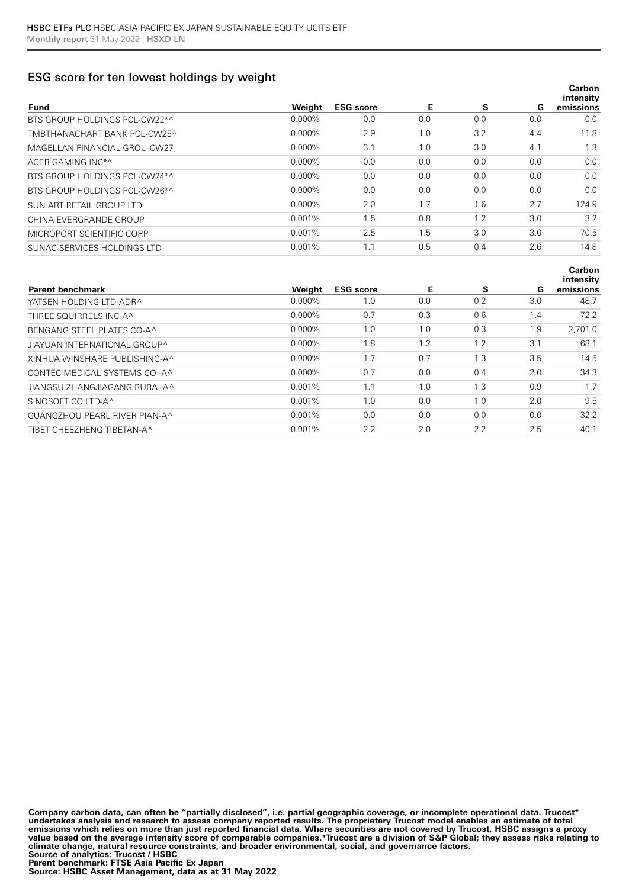### ESG score for ten lowest holdings by weight

| <b>Fund</b>                   | Weight    | <b>ESG</b> score | Е   | s   | G   | <b>Carbon</b><br>intensity<br>emissions |
|-------------------------------|-----------|------------------|-----|-----|-----|-----------------------------------------|
| BTS GROUP HOLDINGS PCL-CW22*^ | $0.000\%$ | 0.0              | 0.0 | 0.0 | 0.0 | 0.0                                     |
| TMBTHANACHART BANK PCL-CW25^  | $0.000\%$ | 2.9              | 1.0 | 3.2 | 4.4 | 11.8                                    |
| MAGELLAN FINANCIAL GROU-CW27  | $0.000\%$ | 3.1              | 1.0 | 3.0 | 4.1 | 1.3                                     |
| ACER GAMING INC*^             | $0.000\%$ | 0.0              | 0.0 | 0.0 | 0.0 | 0.0                                     |
| BTS GROUP HOLDINGS PCL-CW24*^ | $0.000\%$ | 0.0              | 0.0 | 0.0 | 0.0 | 0.0                                     |
| BTS GROUP HOLDINGS PCL-CW26*^ | $0.000\%$ | 0.0              | 0.0 | 0.0 | 0.0 | 0.0                                     |
| SUN ART RETAIL GROUP LTD      | $0.000\%$ | 2.0              | 1.7 | 1.6 | 2.7 | 124.9                                   |
| CHINA EVERGRANDE GROUP        | $0.001\%$ | 1.5              | 0.8 | 1.2 | 3.0 | 3.2                                     |
| MICROPORT SCIENTIFIC CORP     | $0.001\%$ | 2.5              | 1.5 | 3.0 | 3.0 | 70.5                                    |
| SUNAC SERVICES HOLDINGS LTD   | 0.001%    | 1.1              | 0.5 | 0.4 | 2.6 | 14.8                                    |
|                               |           |                  |     |     |     |                                         |

| <b>Parent benchmark</b>        | Weight    | <b>ESG</b> score | Е   | s   | G   | intensity<br>emissions |
|--------------------------------|-----------|------------------|-----|-----|-----|------------------------|
| YATSEN HOLDING LTD-ADR^        | $0.000\%$ | 1.0              | 0.0 | 0.2 | 3.0 | 48.7                   |
| THREE SOUIRRELS INC-A^         | $0.000\%$ | 0.7              | 0.3 | 0.6 | 1.4 | 72.2                   |
| BENGANG STEEL PLATES CO-A^     | $0.000\%$ | 1.0              | 1.0 | 0.3 | 1.9 | 2.701.0                |
| JIAYUAN INTERNATIONAL GROUP^   | $0.000\%$ | 1.8              | 1.2 | 1.2 | 3.1 | 68.1                   |
| XINHUA WINSHARE PUBLISHING-A^  | $0.000\%$ | 1.7              | 0.7 | 1.3 | 3.5 | 14.5                   |
| CONTEC MEDICAL SYSTEMS CO-A^   | $0.000\%$ | 0.7              | 0.0 | 0.4 | 2.0 | 34.3                   |
| JIANGSU ZHANGJIAGANG RURA - A^ | $0.001\%$ | 1.1              | 1.0 | 1.3 | 0.9 | 1.7                    |
| SINOSOFT CO LTD-A^             | 0.001%    | 1.0              | 0.0 | 1.0 | 2.0 | 9.5                    |
| GUANGZHOU PEARL RIVER PIAN-A^  | $0.001\%$ | 0.0              | 0.0 | 0.0 | 0.0 | 32.2                   |
| TIBET CHEEZHENG TIBETAN-A^     | $0.001\%$ | 2.2              | 2.0 | 2.2 | 2.5 | 40.1                   |

**Carbon** 

**Company carbon data, can often be "partially disclosed", i.e. partial geographic coverage, or incomplete operational data. Trucost\***  undertakes analysis and research to assess company reported results. The proprietary Trucost model enables an estimate of total<br>emissions which relies on more than just reported financial data. Where securities are not cov **value based on the average intensity score of comparable companies.\*Trucost are a division of S&P Global; they assess risks relating to climate change, natural resource constraints, and broader environmental, social, and governance factors. Source of analytics: Trucost / HSBC Parent benchmark: FTSE Asia Pacific Ex Japan**

**Source: HSBC Asset Management, data as at 31 May 2022**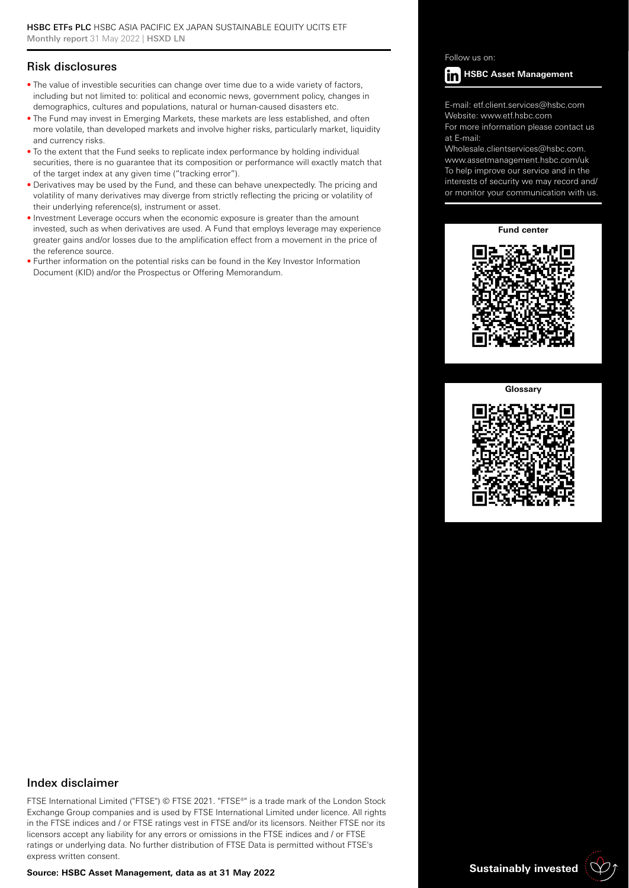## Risk disclosures

- The value of investible securities can change over time due to a wide variety of factors, including but not limited to: political and economic news, government policy, changes in demographics, cultures and populations, natural or human-caused disasters etc.
- The Fund may invest in Emerging Markets, these markets are less established, and often more volatile, than developed markets and involve higher risks, particularly market, liquidity and currency risks.
- To the extent that the Fund seeks to replicate index performance by holding individual securities, there is no guarantee that its composition or performance will exactly match that of the target index at any given time ("tracking error").
- Derivatives may be used by the Fund, and these can behave unexpectedly. The pricing and volatility of many derivatives may diverge from strictly reflecting the pricing or volatility of their underlying reference(s), instrument or asset.
- Investment Leverage occurs when the economic exposure is greater than the amount invested, such as when derivatives are used. A Fund that employs leverage may experience greater gains and/or losses due to the amplification effect from a movement in the price of the reference source.
- Further information on the potential risks can be found in the Key Investor Information Document (KID) and/or the Prospectus or Offering Memorandum.

#### Follow us on:



E-mail: etf.client.services@hsbc.com Website: www.etf.hsbc.com

For more information please contact us at E-mail:

Wholesale.clientservices@hsbc.com. www.assetmanagement.hsbc.com/uk To help improve our service and in the interests of security we may record and/ or monitor your communication with us.

**Fund center**



#### **Glossary**



#### Index disclaimer

FTSE International Limited ("FTSE") © FTSE 2021. "FTSE®" is a trade mark of the London Stock Exchange Group companies and is used by FTSE International Limited under licence. All rights in the FTSE indices and / or FTSE ratings vest in FTSE and/or its licensors. Neither FTSE nor its licensors accept any liability for any errors or omissions in the FTSE indices and / or FTSE ratings or underlying data. No further distribution of FTSE Data is permitted without FTSE's express written consent.